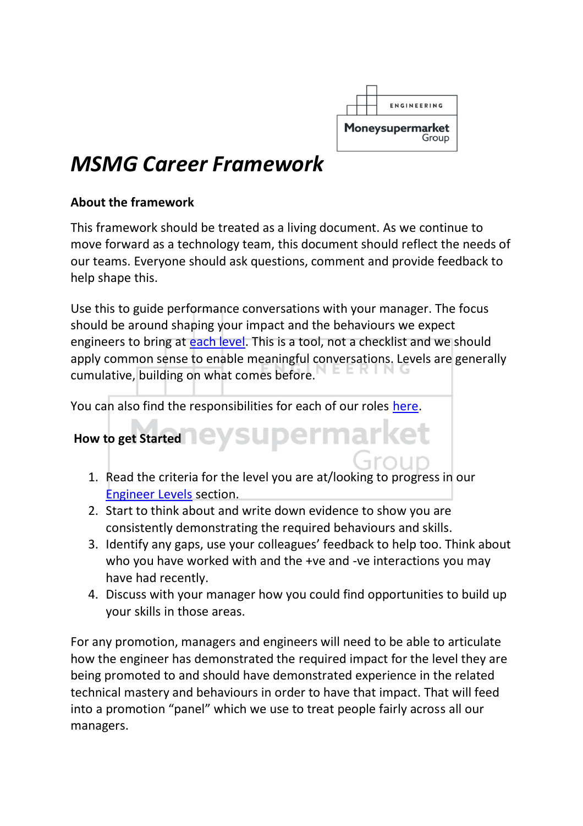

### *MSMG Career Framework*

#### **About the framework**

This framework should be treated as a living document. As we continue to move forward as a technology team, this document should reflect the needs of our teams. Everyone should ask questions, comment and provide feedback to help shape this.

Use this to guide performance conversations with your manager. The focus should be around shaping your impact and the behaviours we expect engineers to bring at [each level.](#page-1-0) This is a tool, not a checklist and we should apply common sense to enable meaningful conversations. Levels are generally cumulative, building on what comes before.

You can also find the responsibilities for each of our roles [here.](#page-12-0)

# How to get Started<sup>1</sup> eysupermarket

- 1. Read the criteria for the level you are at/looking to progress in our [Engineer Levels](#page-1-0) section.
- 2. Start to think about and write down evidence to show you are consistently demonstrating the required behaviours and skills.
- 3. Identify any gaps, use your colleagues' feedback to help too. Think about who you have worked with and the +ve and -ve interactions you may have had recently.
- 4. Discuss with your manager how you could find opportunities to build up your skills in those areas.

For any promotion, managers and engineers will need to be able to articulate how the engineer has demonstrated the required impact for the level they are being promoted to and should have demonstrated experience in the related technical mastery and behaviours in order to have that impact. That will feed into a promotion "panel" which we use to treat people fairly across all our managers.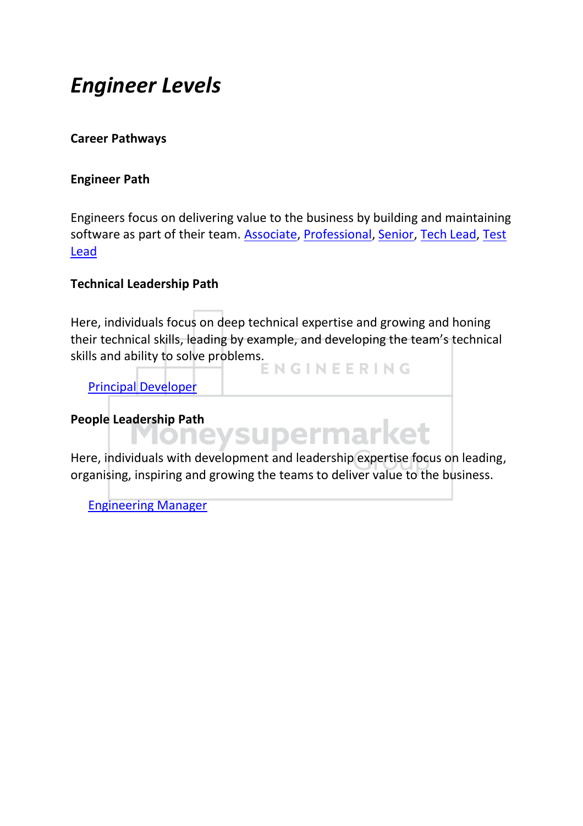### <span id="page-1-0"></span>*Engineer Levels*

#### **Career Pathways**

#### **Engineer Path**

Engineers focus on delivering value to the business by building and maintaining software as part of their team. [Associate,](#page-2-0) [Professional,](#page-3-0) [Senior,](#page-4-0) [Tech Lead,](#page-5-0) [Test](#page-7-0)  [Lead](#page-7-0)

#### **Technical Leadership Path**

Here, individuals focus on deep technical expertise and growing and honing their technical skills, leading by example, and developing the team's technical skills and ability to solve problems.<br> **ENGINEERING** 

[Principal Developer](#page-9-0)

# People Leadership Path<br> **MONEYSUDErmarket**

Here, individuals with development and leadership expertise focus on leading, organising, inspiring and growing the teams to deliver value to the business.

[Engineering Manager](#page-11-0)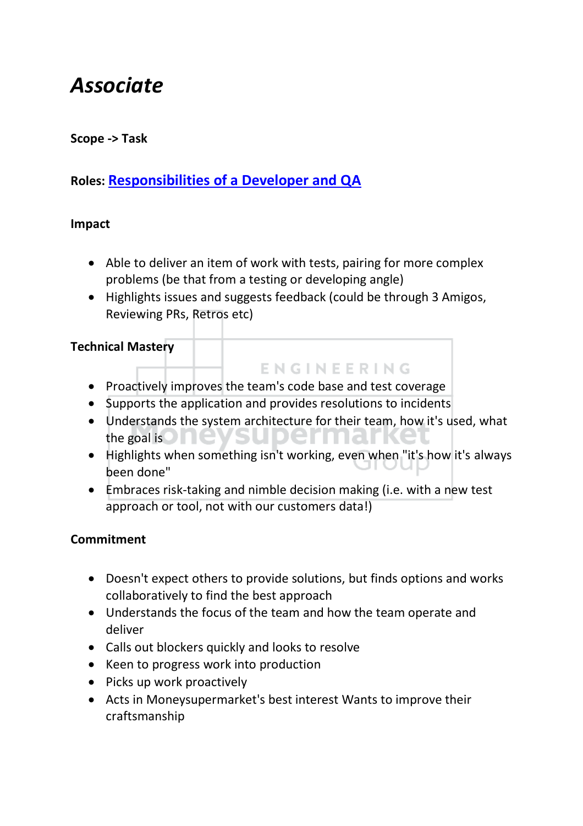### <span id="page-2-0"></span>*Associate*

#### **Scope -> Task**

### **Roles: [Responsibilities of a Developer and QA](#page-12-1)**

#### **Impact**

- Able to deliver an item of work with tests, pairing for more complex problems (be that from a testing or developing angle)
- Highlights issues and suggests feedback (could be through 3 Amigos, Reviewing PRs, Retros etc)

#### **Technical Mastery**

- Proactively improves the team's code base and test coverage
- Supports the application and provides resolutions to incidents
- Understands the system architecture for their team, how it's used, what the goal is  $\Box$ **TIME**

**ENGINEERING** 

- Highlights when something isn't working, even when "it's how it's always been done"
- Embraces risk-taking and nimble decision making (i.e. with a new test approach or tool, not with our customers data!)

- Doesn't expect others to provide solutions, but finds options and works collaboratively to find the best approach
- Understands the focus of the team and how the team operate and deliver
- Calls out blockers quickly and looks to resolve
- Keen to progress work into production
- Picks up work proactively
- Acts in Moneysupermarket's best interest Wants to improve their craftsmanship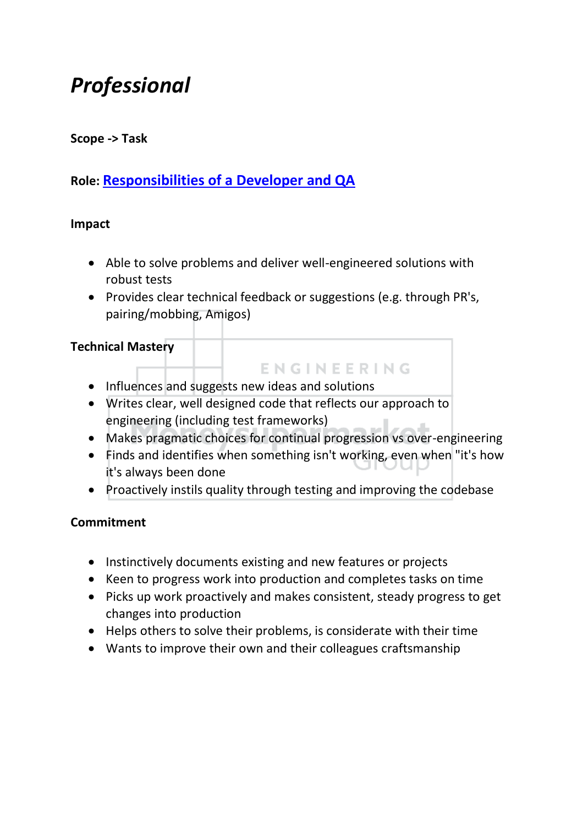### <span id="page-3-0"></span>*Professional*

#### **Scope -> Task**

#### **Role: [Responsibilities of a Developer and QA](#page-12-1)**

#### **Impact**

- Able to solve problems and deliver well-engineered solutions with robust tests
- Provides clear technical feedback or suggestions (e.g. through PR's, pairing/mobbing, Amigos)

#### **Technical Mastery**

- Influences and suggests new ideas and solutions
- Writes clear, well designed code that reflects our approach to engineering (including test frameworks)
- Makes pragmatic choices for continual progression vs over-engineering

ENGINEERING

- Finds and identifies when something isn't working, even when "it's how it's always been done
- Proactively instils quality through testing and improving the codebase

- Instinctively documents existing and new features or projects
- Keen to progress work into production and completes tasks on time
- Picks up work proactively and makes consistent, steady progress to get changes into production
- Helps others to solve their problems, is considerate with their time
- Wants to improve their own and their colleagues craftsmanship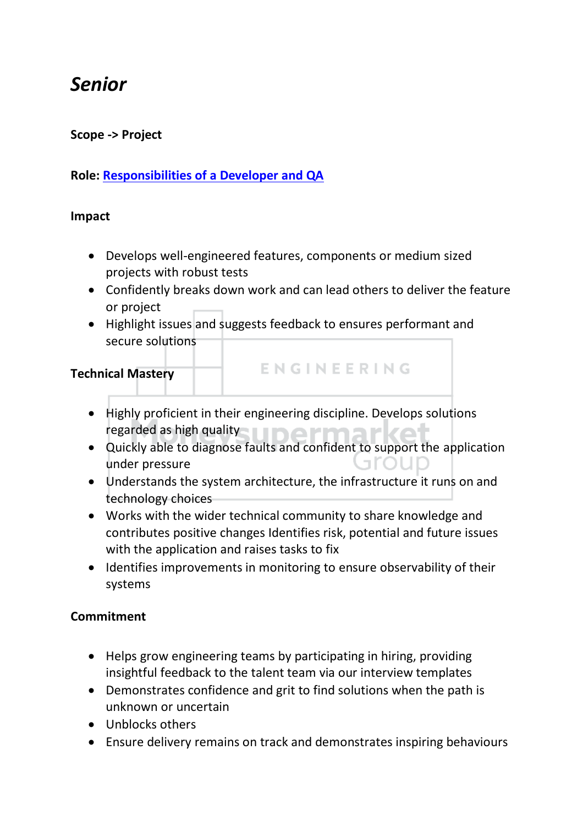### <span id="page-4-0"></span>*Senior*

#### **Scope -> Project**

#### **Role: [Responsibilities of a Developer and QA](#page-12-1)**

#### **Impact**

- Develops well-engineered features, components or medium sized projects with robust tests
- Confidently breaks down work and can lead others to deliver the feature or project

ENGINEERING

• Highlight issues and suggests feedback to ensures performant and secure solutions

#### **Technical Mastery**

- Highly proficient in their engineering discipline. Develops solutions regarded as high quality and the state of the state of the state of the state of the state of the state of the
- Quickly able to diagnose faults and confident to support the application arour under pressure
- Understands the system architecture, the infrastructure it runs on and technology choices
- Works with the wider technical community to share knowledge and contributes positive changes Identifies risk, potential and future issues with the application and raises tasks to fix
- Identifies improvements in monitoring to ensure observability of their systems

- Helps grow engineering teams by participating in hiring, providing insightful feedback to the talent team via our interview templates
- Demonstrates confidence and grit to find solutions when the path is unknown or uncertain
- Unblocks others
- Ensure delivery remains on track and demonstrates inspiring behaviours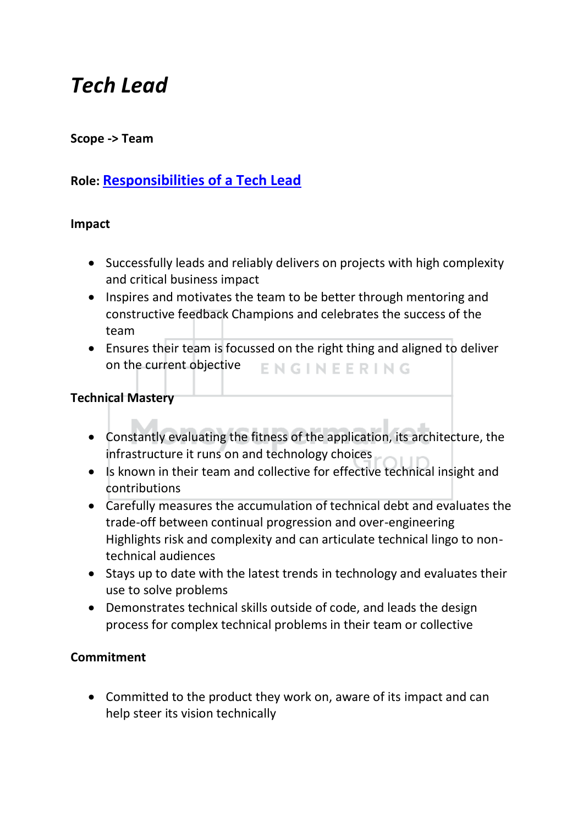### <span id="page-5-0"></span>*Tech Lead*

#### **Scope -> Team**

#### **Role: [Responsibilities of a Tech Lead](#page-18-0)**

#### **Impact**

- Successfully leads and reliably delivers on projects with high complexity and critical business impact
- Inspires and motivates the team to be better through mentoring and constructive feedback Champions and celebrates the success of the team
- Ensures their team is focussed on the right thing and aligned to deliver on the current objective ENGINEERING

#### **Technical Mastery**

- Constantly evaluating the fitness of the application, its architecture, the infrastructure it runs on and technology choices
- Is known in their team and collective for effective technical insight and contributions
- Carefully measures the accumulation of technical debt and evaluates the trade-off between continual progression and over-engineering Highlights risk and complexity and can articulate technical lingo to nontechnical audiences
- Stays up to date with the latest trends in technology and evaluates their use to solve problems
- Demonstrates technical skills outside of code, and leads the design process for complex technical problems in their team or collective

#### **Commitment**

• Committed to the product they work on, aware of its impact and can help steer its vision technically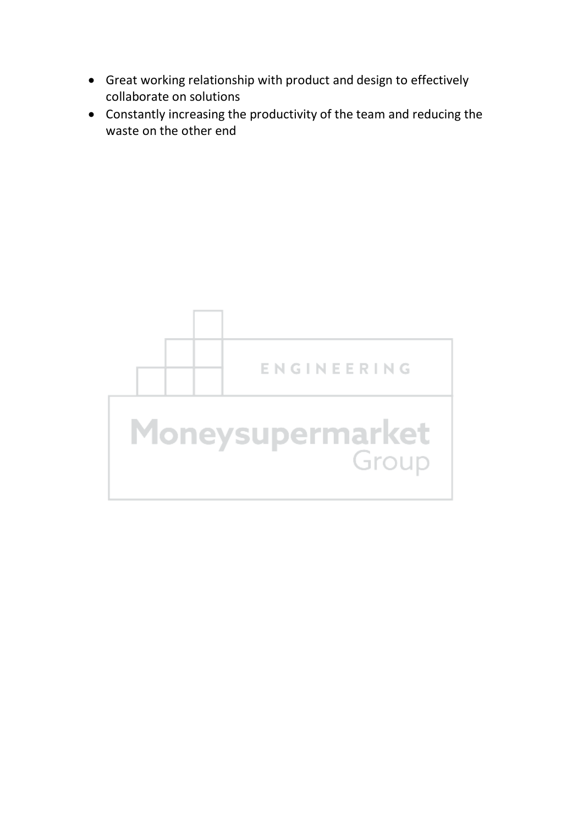- Great working relationship with product and design to effectively collaborate on solutions
- Constantly increasing the productivity of the team and reducing the waste on the other end

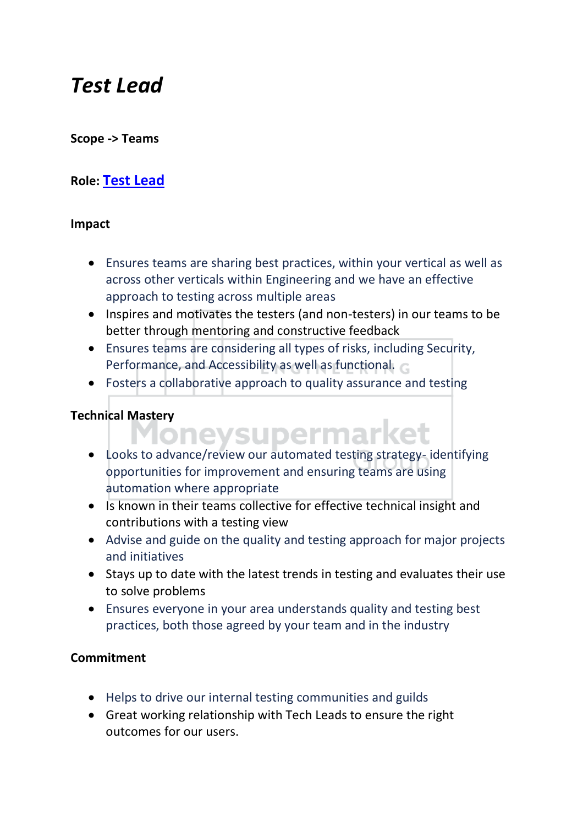### <span id="page-7-0"></span>*Test Lead*

#### **Scope -> Teams**

#### **Role: [Test Lead](#page-16-0)**

#### **Impact**

- Ensures teams are sharing best practices, within your vertical as well as across other verticals within Engineering and we have an effective approach to testing across multiple areas
- Inspires and motivates the testers (and non-testers) in our teams to be better through mentoring and constructive feedback
- Ensures teams are considering all types of risks, including Security, Performance, and Accessibility as well as functional.
- Fosters a collaborative approach to quality assurance and testing

- Technical Mastery<br>**MONEYSUDErmarket** • Looks to advance/review our automated testing strategy- identifying
	- opportunities for improvement and ensuring teams are using automation where appropriate
	- Is known in their teams collective for effective technical insight and contributions with a testing view
	- Advise and guide on the quality and testing approach for major projects and initiatives
	- Stays up to date with the latest trends in testing and evaluates their use to solve problems
	- Ensures everyone in your area understands quality and testing best practices, both those agreed by your team and in the industry

- Helps to drive our internal testing communities and guilds
- Great working relationship with Tech Leads to ensure the right outcomes for our users.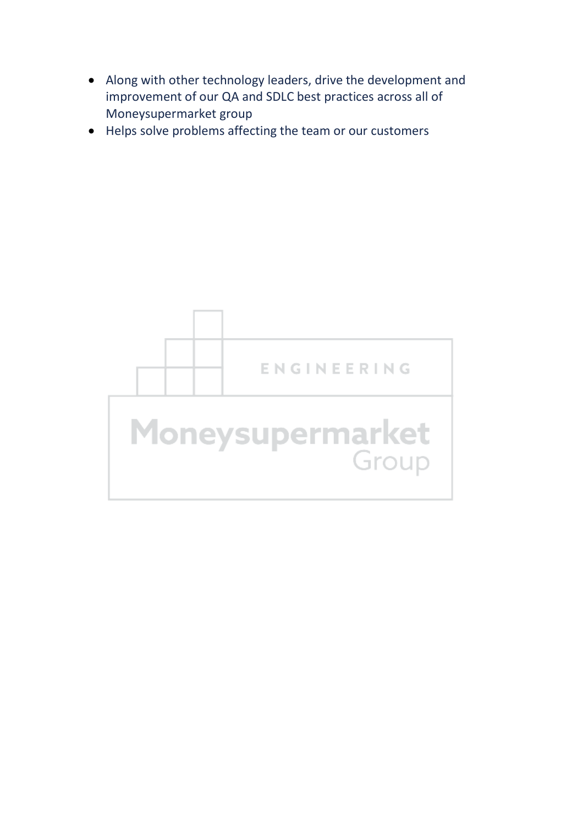- Along with other technology leaders, drive the development and improvement of our QA and SDLC best practices across all of Moneysupermarket group
- Helps solve problems affecting the team or our customers

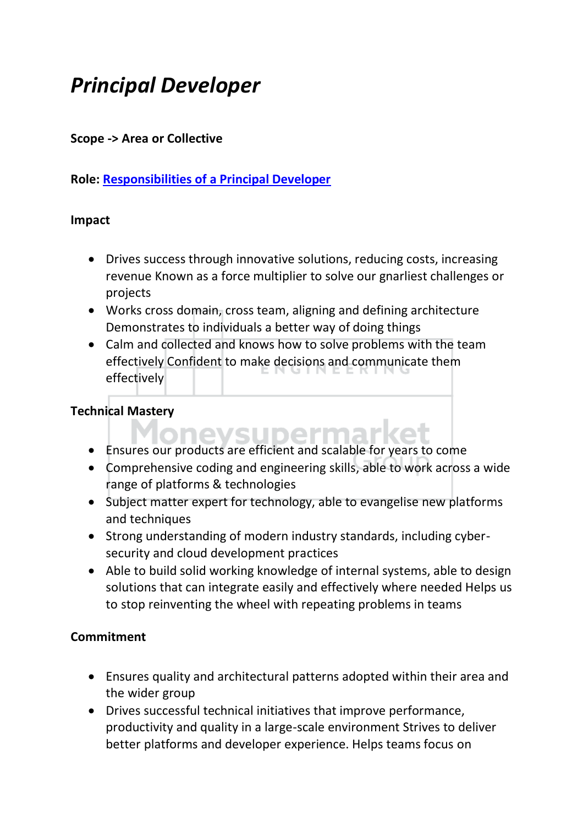### <span id="page-9-0"></span>*Principal Developer*

#### **Scope -> Area or Collective**

#### **Role: [Responsibilities of a Principal Developer](#page-21-0)**

#### **Impact**

- Drives success through innovative solutions, reducing costs, increasing revenue Known as a force multiplier to solve our gnarliest challenges or projects
- Works cross domain, cross team, aligning and defining architecture Demonstrates to individuals a better way of doing things
- Calm and collected and knows how to solve problems with the team effectively Confident to make decisions and communicate them effectively

#### **Technical Mastery**

- onevsupermarl • Ensures our products are efficient and scalable for years to come
- Comprehensive coding and engineering skills, able to work across a wide range of platforms & technologies
- Subject matter expert for technology, able to evangelise new platforms and techniques
- Strong understanding of modern industry standards, including cybersecurity and cloud development practices
- Able to build solid working knowledge of internal systems, able to design solutions that can integrate easily and effectively where needed Helps us to stop reinventing the wheel with repeating problems in teams

- Ensures quality and architectural patterns adopted within their area and the wider group
- Drives successful technical initiatives that improve performance, productivity and quality in a large-scale environment Strives to deliver better platforms and developer experience. Helps teams focus on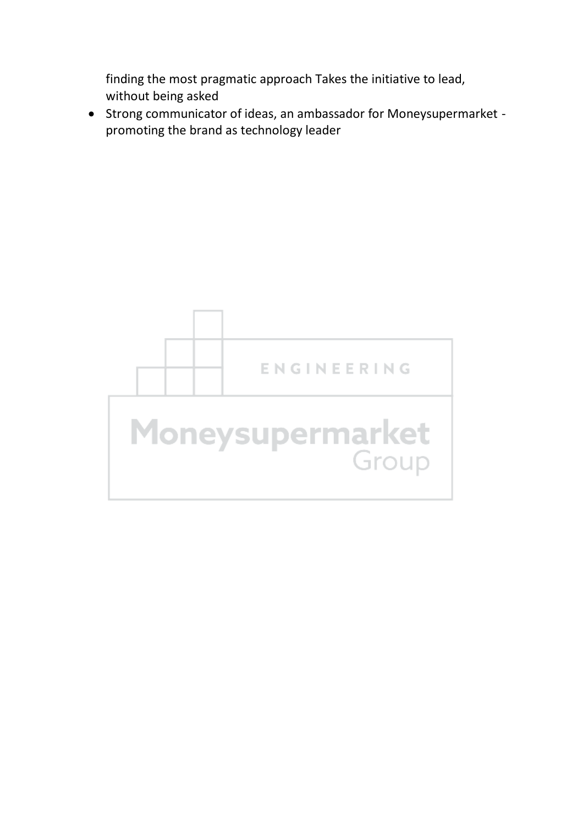finding the most pragmatic approach Takes the initiative to lead, without being asked

• Strong communicator of ideas, an ambassador for Moneysupermarket promoting the brand as technology leader

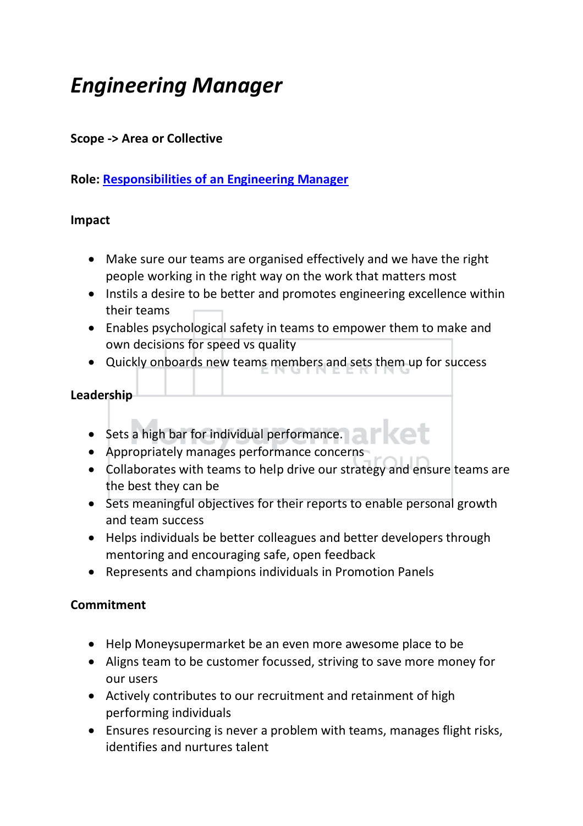## <span id="page-11-0"></span>*Engineering Manager*

#### **Scope -> Area or Collective**

#### **Role: [Responsibilities of an Engineering Manager](#page-24-0)**

#### **Impact**

- Make sure our teams are organised effectively and we have the right people working in the right way on the work that matters most
- Instils a desire to be better and promotes engineering excellence within their teams
- Enables psychological safety in teams to empower them to make and own decisions for speed vs quality
- Quickly onboards new teams members and sets them up for success

#### **Leadership**

- Sets a high bar for individual performance.
- Appropriately manages performance concerns
- Collaborates with teams to help drive our strategy and ensure teams are the best they can be
- Sets meaningful objectives for their reports to enable personal growth and team success
- Helps individuals be better colleagues and better developers through mentoring and encouraging safe, open feedback
- Represents and champions individuals in Promotion Panels

- Help Moneysupermarket be an even more awesome place to be
- Aligns team to be customer focussed, striving to save more money for our users
- Actively contributes to our recruitment and retainment of high performing individuals
- Ensures resourcing is never a problem with teams, manages flight risks, identifies and nurtures talent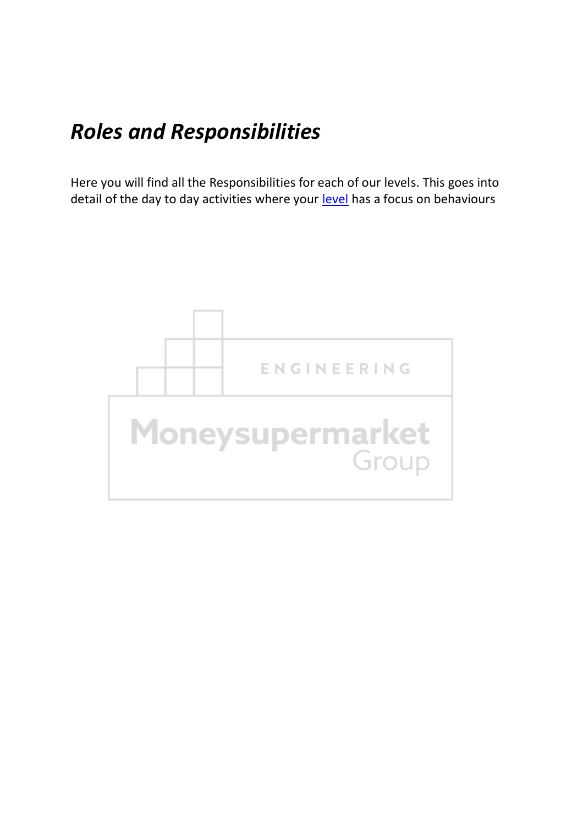## <span id="page-12-0"></span>*Roles and Responsibilities*

Here you will find all the Responsibilities for each of our levels. This goes into detail of the day to day activities where your [level](#page-1-0) has a focus on behaviours

<span id="page-12-1"></span>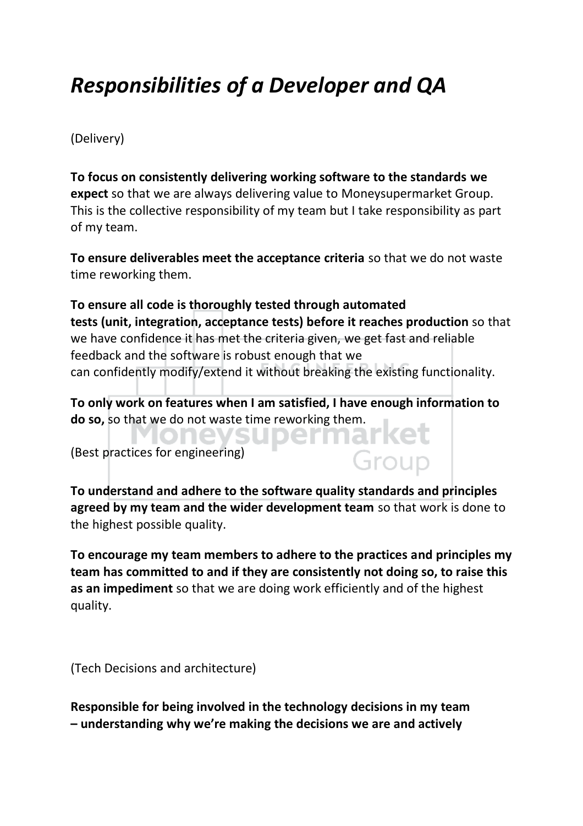## *Responsibilities of a Developer and QA*

(Delivery)

**To focus on consistently delivering working software to the standards we expect**so that we are always delivering value to Moneysupermarket Group. This is the collective responsibility of my team but I take responsibility as part of my team.

**To ensure deliverables meet the acceptance criteria** so that we do not waste time reworking them.

**To ensure all code is thoroughly tested through automated tests (unit, integration, acceptance tests) before it reaches production** so that we have confidence it has met the criteria given, we get fast and reliable feedback and the software is robust enough that we can confidently modify/extend it without breaking the existing functionality.

**To only work on features when I am satisfied, I have enough information to do so,** so that we do not waste time reworking them.

(Best practices for engineering)

**To understand and adhere to the software quality standards and principles agreed by my team and the wider development team** so that work is done to the highest possible quality.

Group

**To encourage my team members to adhere to the practices and principles my team has committed to and if they are consistently not doing so, to raise this as an impediment** so that we are doing work efficiently and of the highest quality.

(Tech Decisions and architecture)

**Responsible for being involved in the technology decisions in my team – understanding why we're making the decisions we are and actively**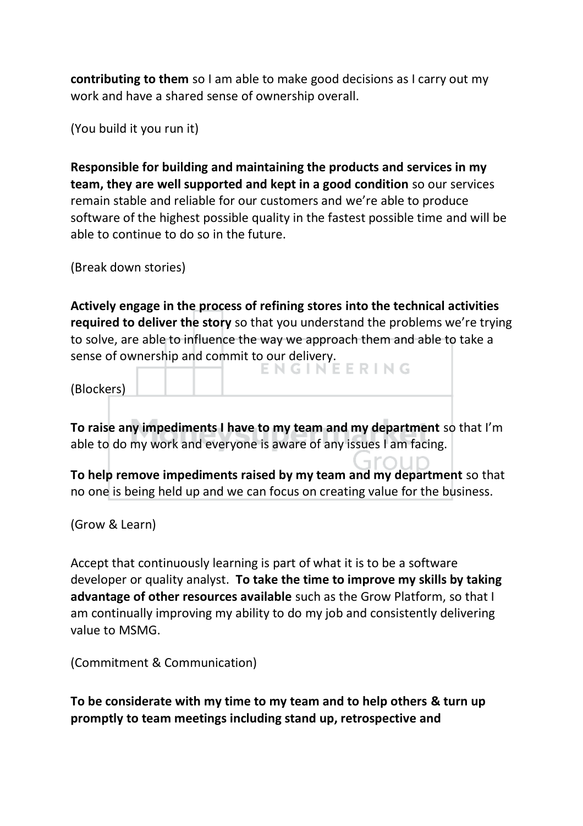**contributing to them** so I am able to make good decisions as I carry out my work and have a shared sense of ownership overall.

(You build it you run it)

**Responsible for building and maintaining the products and services in my team, they are well supported and kept in a good condition** so our services remain stable and reliable for our customers and we're able to produce software of the highest possible quality in the fastest possible time and will be able to continue to do so in the future.

(Break down stories)

**Actively engage in the process of refining stores into the technical activities required to deliver the story** so that you understand the problems we're trying to solve, are able to influence the way we approach them and able to take a sense of ownership and commit to our delivery.

(Blockers)

**To raise any impediments I have to my team and my department** so that I'm able to do my work and everyone is aware of any issues I am facing.

**To help remove impediments raised by my team and my department** so that no one is being held up and we can focus on creating value for the business.

(Grow & Learn)

Accept that continuously learning is part of what it is to be a software developer or quality analyst.  **To take the time to improve my skills by taking advantage of other resources available** such as the Grow Platform, so that I am continually improving my ability to do my job and consistently delivering value to MSMG.

(Commitment & Communication)

**To be considerate with my time to my team and to help others & turn up promptly to team meetings including stand up, retrospective and**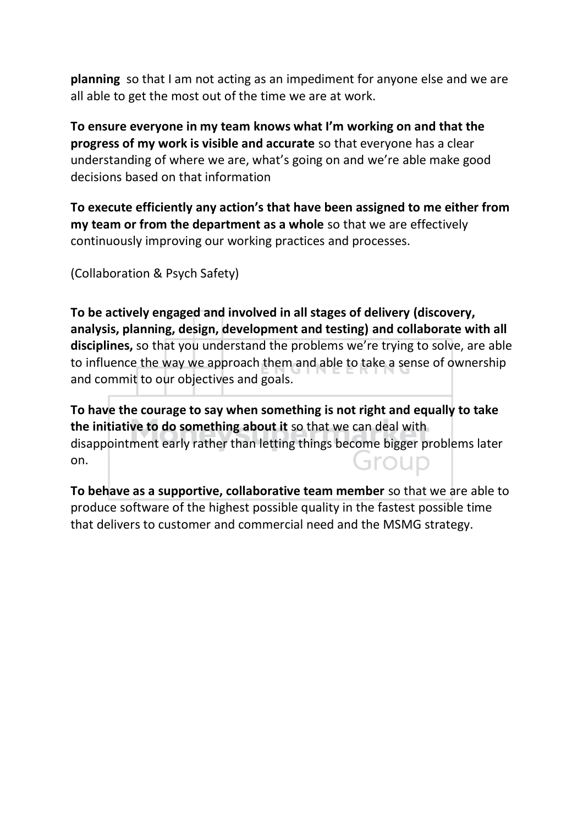**planning** so that I am not acting as an impediment for anyone else and we are all able to get the most out of the time we are at work.

**To ensure everyone in my team knows what I'm working on and that the progress of my work is visible and accurate** so that everyone has a clear understanding of where we are, what's going on and we're able make good decisions based on that information

**To execute efficiently any action's that have been assigned to me either from my team or from the department as a whole** so that we are effectively continuously improving our working practices and processes.

(Collaboration & Psych Safety)

**To be actively engaged and involved in all stages of delivery (discovery, analysis, planning, design, development and testing) and collaborate with all disciplines,** so that you understand the problems we're trying to solve, are able to influence the way we approach them and able to take a sense of ownership and commit to our objectives and goals.

**To have the courage to say when something is not right and equally to take the initiative to do something about it** so that we can deal with disappointment early rather than letting things become bigger problems later on. Group

**To behave as a supportive, collaborative team member** so that we are able to produce software of the highest possible quality in the fastest possible time that delivers to customer and commercial need and the MSMG strategy.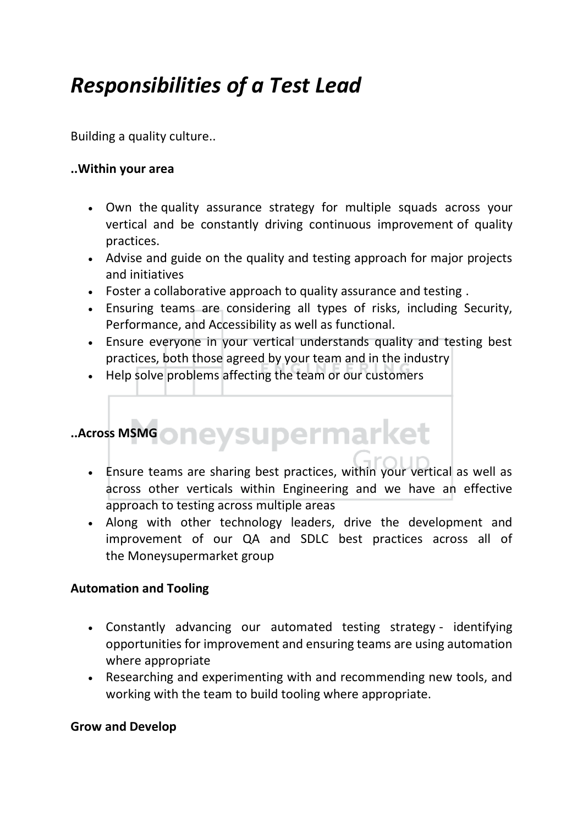### <span id="page-16-0"></span>*Responsibilities of a Test Lead*

Building a quality culture..

#### **..Within your area**

- Own the quality assurance strategy for multiple squads across your vertical and be constantly driving continuous improvement of quality practices.
- Advise and guide on the quality and testing approach for major projects and initiatives
- Foster a collaborative approach to quality assurance and testing .
- Ensuring teams are considering all types of risks, including Security, Performance, and Accessibility as well as functional.
- Ensure everyone in your vertical understands quality and testing best practices, both those agreed by your team and in the industry
- Help solve problems affecting the team or our customers

# **..Across MSMG oneysupermarket**

- Ensure teams are sharing best practices, within your vertical as well as across other verticals within Engineering and we have an effective approach to testing across multiple areas
- Along with other technology leaders, drive the development and improvement of our QA and SDLC best practices across all of the Moneysupermarket group

#### **Automation and Tooling**

- Constantly advancing our automated testing strategy identifying opportunities for improvement and ensuring teams are using automation where appropriate
- Researching and experimenting with and recommending new tools, and working with the team to build tooling where appropriate.

#### **Grow and Develop**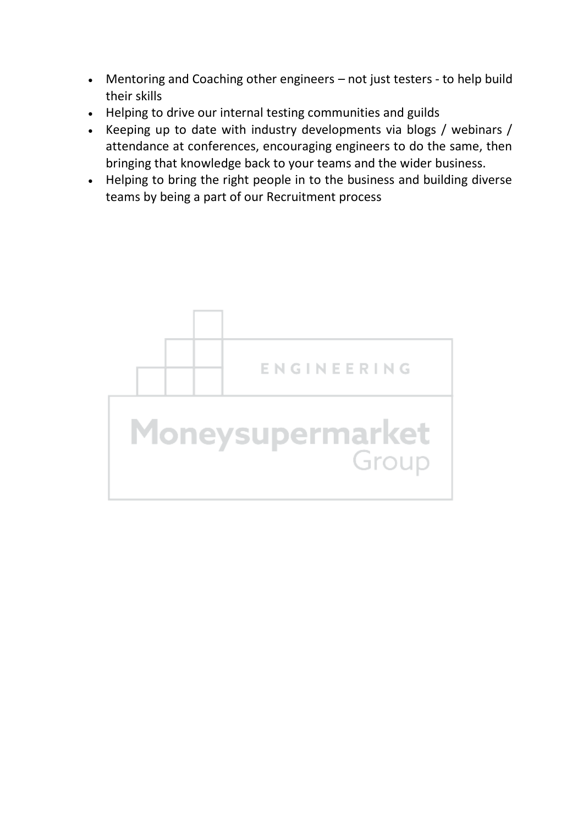- Mentoring and Coaching other engineers not just testers to help build their skills
- Helping to drive our internal testing communities and guilds
- Keeping up to date with industry developments via blogs / webinars / attendance at conferences, encouraging engineers to do the same, then bringing that knowledge back to your teams and the wider business.
- Helping to bring the right people in to the business and building diverse teams by being a part of our Recruitment process

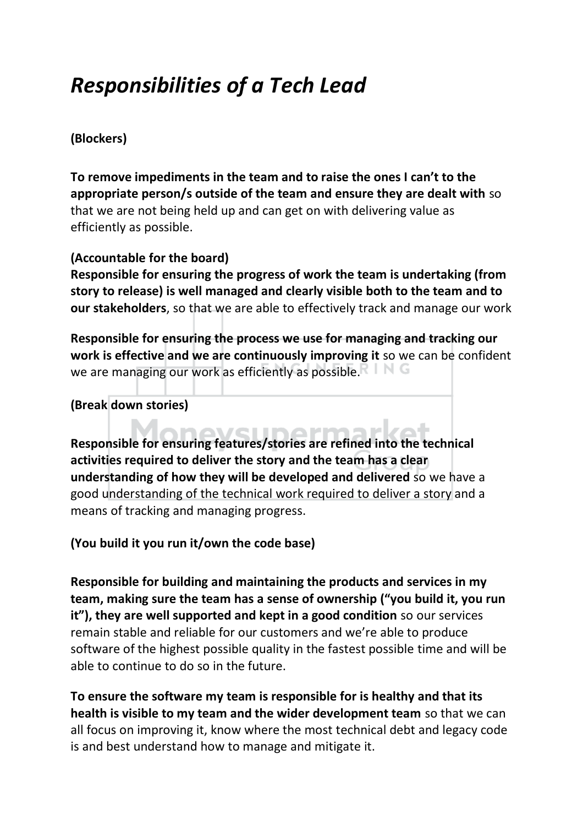### <span id="page-18-0"></span>*Responsibilities of a Tech Lead*

#### **(Blockers)**

**To remove impediments in the team and to raise the ones I can't to the appropriate person/s outside of the team and ensure they are dealt with** so that we are not being held up and can get on with delivering value as efficiently as possible.

#### **(Accountable for the board)**

**Responsible for ensuring the progress of work the team is undertaking (from story to release) is well managed and clearly visible both to the team and to our stakeholders**, so that we are able to effectively track and manage our work

**Responsible for ensuring the process we use for managing and tracking our work is effective and we are continuously improving it** so we can be confident we are managing our work as efficiently as possible.

**(Break down stories)** 

moveunormarkot **Responsible for ensuring features/stories are refined into the technical activities required to deliver the story and the team has a clear understanding of how they will be developed and delivered** so we have a good understanding of the technical work required to deliver a story and a means of tracking and managing progress.

**(You build it you run it/own the code base)** 

**Responsible for building and maintaining the products and services in my team, making sure the team has a sense of ownership ("you build it, you run it"), they are well supported and kept in a good condition** so our services remain stable and reliable for our customers and we're able to produce software of the highest possible quality in the fastest possible time and will be able to continue to do so in the future.

**To ensure the software my team is responsible for is healthy and that its health is visible to my team and the wider development team** so that we can all focus on improving it, know where the most technical debt and legacy code is and best understand how to manage and mitigate it.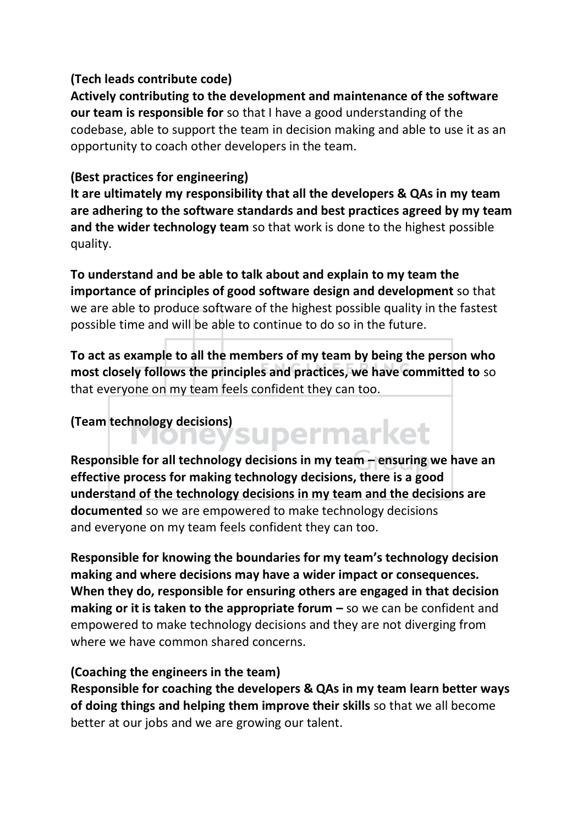#### **(Tech leads contribute code)**

**Actively contributing to the development and maintenance of the software our team is responsible for** so that I have a good understanding of the codebase, able to support the team in decision making and able to use it as an opportunity to coach other developers in the team.

#### **(Best practices for engineering)**

**It are ultimately my responsibility that all the developers & QAs in my team are adhering to the software standards and best practices agreed by my team and the wider technology team** so that work is done to the highest possible quality.

**To understand and be able to talk about and explain to my team the importance of principles of good software design and development** so that we are able to produce software of the highest possible quality in the fastest possible time and will be able to continue to do so in the future.

**To act as example to all the members of my team by being the person who most closely follows the principles and practices, we have committed to** so that everyone on my team feels confident they can too.

# **(Team technology decisions)**

**Responsible for all technology decisions in my team – ensuring we have an effective process for making technology decisions, there is a good understand of the technology decisions in my team and the decisions are documented** so we are empowered to make technology decisions and everyone on my team feels confident they can too.

**Responsible for knowing the boundaries for my team's technology decision making and where decisions may have a wider impact or consequences. When they do, responsible for ensuring others are engaged in that decision making or it is taken to the appropriate forum –** so we can be confident and empowered to make technology decisions and they are not diverging from where we have common shared concerns.

#### **(Coaching the engineers in the team)**

**Responsible for coaching the developers & QAs in my team learn better ways of doing things and helping them improve their skills** so that we all become better at our jobs and we are growing our talent.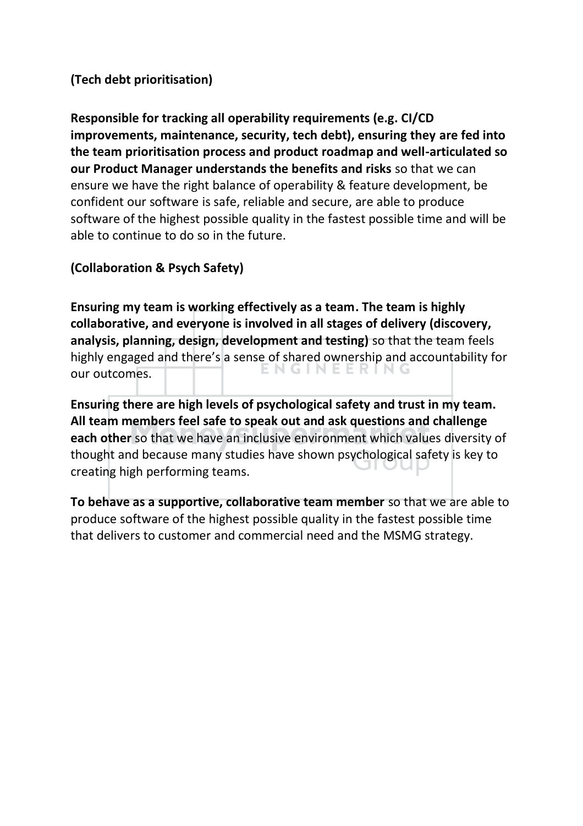#### **(Tech debt prioritisation)**

**Responsible for tracking all operability requirements (e.g. CI/CD improvements, maintenance, security, tech debt), ensuring they are fed into the team prioritisation process and product roadmap and well-articulated so our Product Manager understands the benefits and risks** so that we can ensure we have the right balance of operability & feature development, be confident our software is safe, reliable and secure, are able to produce software of the highest possible quality in the fastest possible time and will be able to continue to do so in the future.

#### **(Collaboration & Psych Safety)**

**Ensuring my team is working effectively as a team. The team is highly collaborative, and everyone is involved in all stages of delivery (discovery, analysis, planning, design, development and testing)** so that the team feels highly engaged and there's a sense of shared ownership and accountability for our outcomes.

**Ensuring there are high levels of psychological safety and trust in my team. All team members feel safe to speak out and ask questions and challenge each other** so that we have an inclusive environment which values diversity of thought and because many studies have shown psychological safety is key to creating high performing teams.

**To behave as a supportive, collaborative team member** so that we are able to produce software of the highest possible quality in the fastest possible time that delivers to customer and commercial need and the MSMG strategy.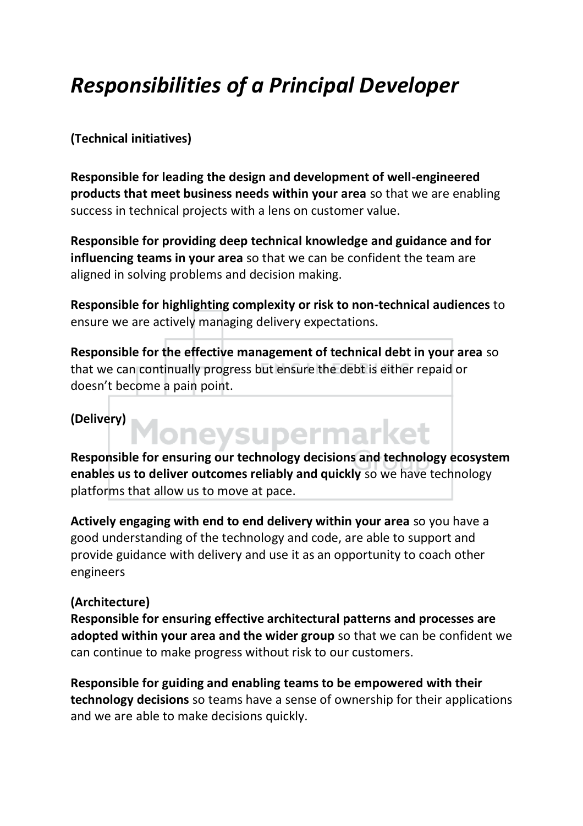## <span id="page-21-0"></span>*Responsibilities of a Principal Developer*

#### **(Technical initiatives)**

**Responsible for leading the design and development of well-engineered products that meet business needs within your area** so that we are enabling success in technical projects with a lens on customer value.

**Responsible for providing deep technical knowledge and guidance and for influencing teams in your area** so that we can be confident the team are aligned in solving problems and decision making.

**Responsible for highlighting complexity or risk to non-technical audiences** to ensure we are actively managing delivery expectations.

**Responsible for the effective management of technical debt in your area** so that we can continually progress but ensure the debt is either repaid or doesn't become a pain point.

#### **(Delivery)**

Moneysupermarket **Responsible for ensuring our technology decisions and technology ecosystem enables us to deliver outcomes reliably and quickly** so we have technology platforms that allow us to move at pace.

**Actively engaging with end to end delivery within your area** so you have a good understanding of the technology and code, are able to support and provide guidance with delivery and use it as an opportunity to coach other engineers

#### **(Architecture)**

**Responsible for ensuring effective architectural patterns and processes are adopted within your area and the wider group** so that we can be confident we can continue to make progress without risk to our customers.

**Responsible for guiding and enabling teams to be empowered with their technology decisions** so teams have a sense of ownership for their applications and we are able to make decisions quickly.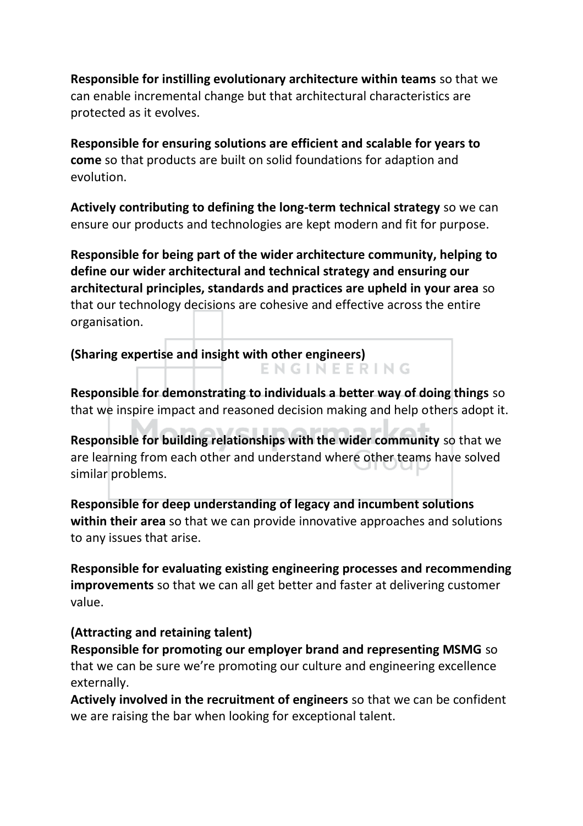**Responsible for instilling evolutionary architecture within teams** so that we can enable incremental change but that architectural characteristics are protected as it evolves.

**Responsible for ensuring solutions are efficient and scalable for years to come** so that products are built on solid foundations for adaption and evolution.

**Actively contributing to defining the long-term technical strategy** so we can ensure our products and technologies are kept modern and fit for purpose.

**Responsible for being part of the wider architecture community, helping to define our wider architectural and technical strategy and ensuring our architectural principles, standards and practices are upheld in your area** so that our technology decisions are cohesive and effective across the entire organisation.

**(Sharing expertise and insight with other engineers)**  ENGINEERING

**Responsible for demonstrating to individuals a better way of doing things** so that we inspire impact and reasoned decision making and help others adopt it.

**Responsible for building relationships with the wider community** so that we are learning from each other and understand where other teams have solved similar problems.

**Responsible for deep understanding of legacy and incumbent solutions within their area** so that we can provide innovative approaches and solutions to any issues that arise.

**Responsible for evaluating existing engineering processes and recommending improvements** so that we can all get better and faster at delivering customer value.

#### **(Attracting and retaining talent)**

**Responsible for promoting our employer brand and representing MSMG** so that we can be sure we're promoting our culture and engineering excellence externally.

**Actively involved in the recruitment of engineers** so that we can be confident we are raising the bar when looking for exceptional talent.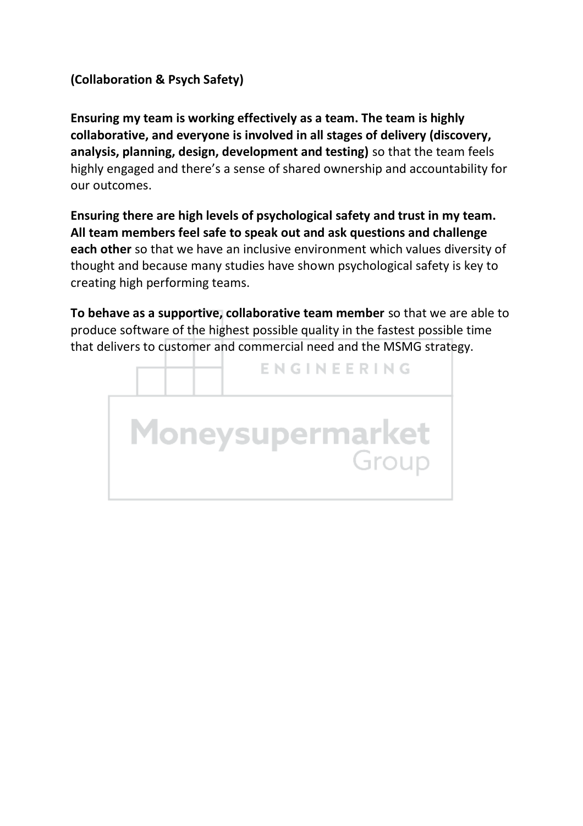#### **(Collaboration & Psych Safety)**

**Ensuring my team is working effectively as a team. The team is highly collaborative, and everyone is involved in all stages of delivery (discovery, analysis, planning, design, development and testing)** so that the team feels highly engaged and there's a sense of shared ownership and accountability for our outcomes.

**Ensuring there are high levels of psychological safety and trust in my team. All team members feel safe to speak out and ask questions and challenge each other** so that we have an inclusive environment which values diversity of thought and because many studies have shown psychological safety is key to creating high performing teams.

**To behave as a supportive, collaborative team member** so that we are able to produce software of the highest possible quality in the fastest possible time that delivers to customer and commercial need and the MSMG strategy.

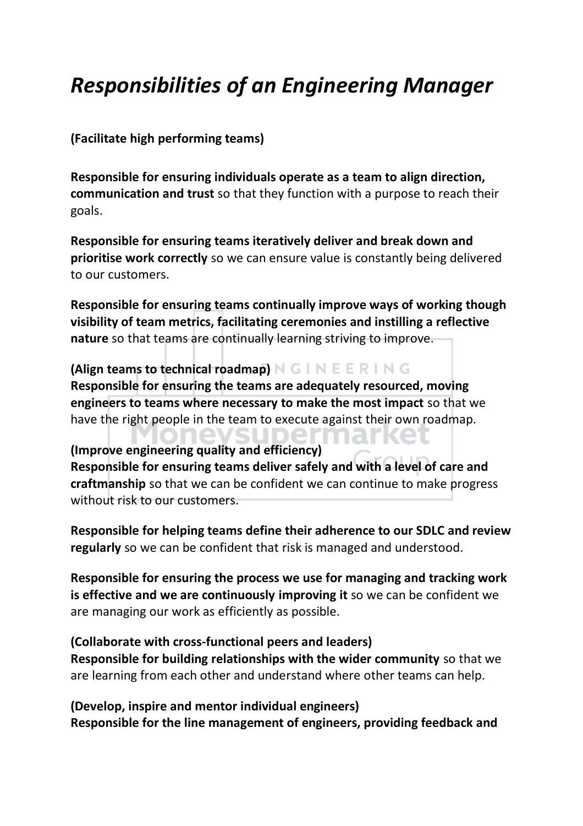## <span id="page-24-0"></span>*Responsibilities of an Engineering Manager*

**(Facilitate high performing teams)** 

**Responsible for ensuring individuals operate as a team to align direction, communication and trust** so that they function with a purpose to reach their goals.

**Responsible for ensuring teams iteratively deliver and break down and prioritise work correctly** so we can ensure value is constantly being delivered to our customers.

**Responsible for ensuring teams continually improve ways of working though visibility of team metrics, facilitating ceremonies and instilling a reflective nature** so that teams are continually learning striving to improve.

**(Align teams to technical roadmap)**  $N G \cap N E E R \cap N G$ **Responsible for ensuring the teams are adequately resourced, moving engineers to teams where necessary to make the most impact** so that we have the right people in the team to execute against their own roadmap.

**(Improve engineering quality and efficiency) Responsible for ensuring teams deliver safely and with a level of care and craftmanship** so that we can be confident we can continue to make progress without risk to our customers.

**Responsible for helping teams define their adherence to our SDLC and review regularly** so we can be confident that risk is managed and understood.

**Responsible for ensuring the process we use for managing and tracking work is effective and we are continuously improving it** so we can be confident we are managing our work as efficiently as possible.

**(Collaborate with cross-functional peers and leaders)**

**Responsible for building relationships with the wider community** so that we are learning from each other and understand where other teams can help.

**(Develop, inspire and mentor individual engineers) Responsible for the line management of engineers, providing feedback and**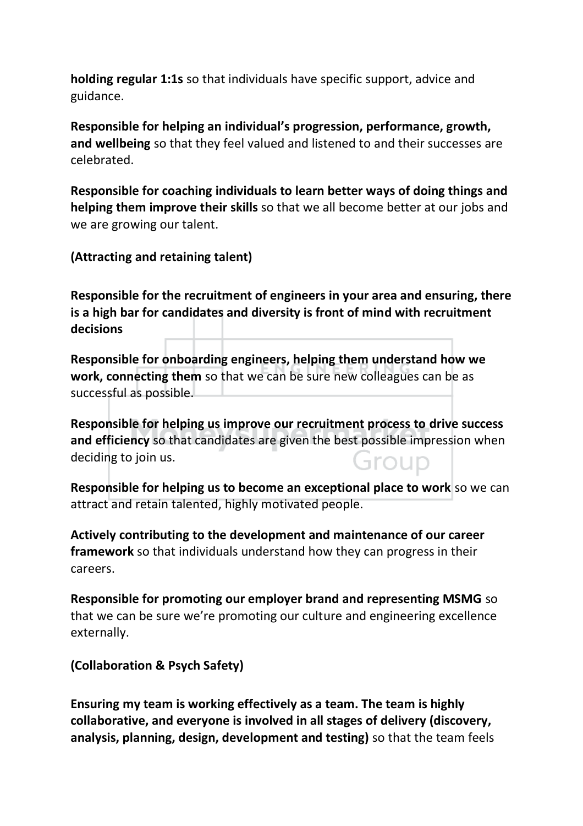**holding regular 1:1s** so that individuals have specific support, advice and guidance.

**Responsible for helping an individual's progression, performance, growth, and wellbeing** so that they feel valued and listened to and their successes are celebrated.

**Responsible for coaching individuals to learn better ways of doing things and helping them improve their skills** so that we all become better at our jobs and we are growing our talent.

**(Attracting and retaining talent)** 

**Responsible for the recruitment of engineers in your area and ensuring, there is a high bar for candidates and diversity is front of mind with recruitment decisions** 

**Responsible for onboarding engineers, helping them understand how we work, connecting them** so that we can be sure new colleagues can be as successful as possible.

**Responsible for helping us improve our recruitment process to drive success and efficiency** so that candidates are given the best possible impression when deciding to join us. aroup

**Responsible for helping us to become an exceptional place to work so we can** attract and retain talented, highly motivated people.

**Actively contributing to the development and maintenance of our career framework** so that individuals understand how they can progress in their careers.

**Responsible for promoting our employer brand and representing MSMG** so that we can be sure we're promoting our culture and engineering excellence externally.

**(Collaboration & Psych Safety)** 

**Ensuring my team is working effectively as a team. The team is highly collaborative, and everyone is involved in all stages of delivery (discovery, analysis, planning, design, development and testing)** so that the team feels